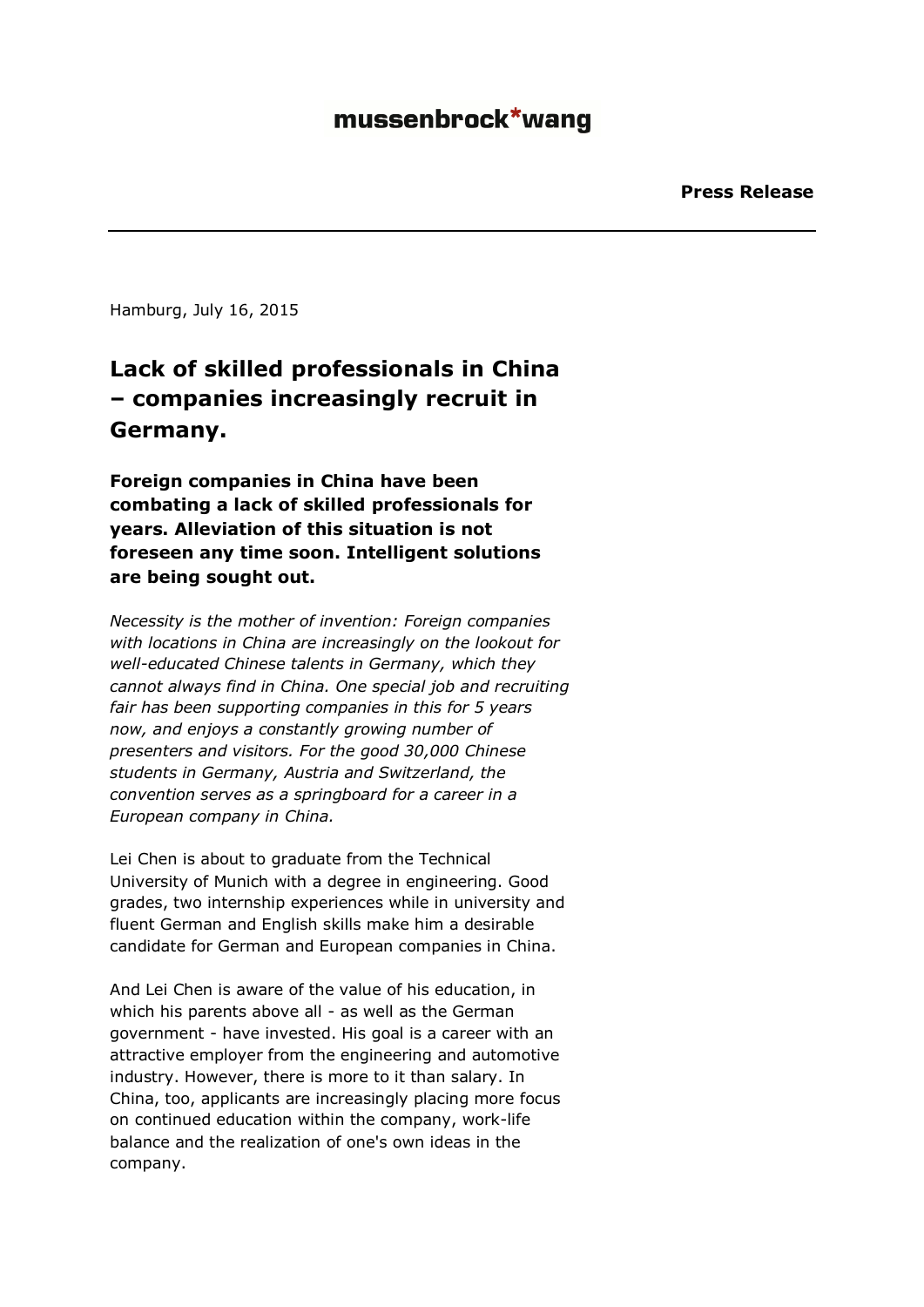Hamburg, July 16, 2015

### **Lack of skilled professionals in China – companies increasingly recruit in Germany.**

**Foreign companies in China have been combating a lack of skilled professionals for years. Alleviation of this situation is not foreseen any time soon. Intelligent solutions are being sought out.**

*Necessity is the mother of invention: Foreign companies with locations in China are increasingly on the lookout for well-educated Chinese talents in Germany, which they cannot always find in China. One special job and recruiting fair has been supporting companies in this for 5 years now, and enjoys a constantly growing number of presenters and visitors. For the good 30,000 Chinese students in Germany, Austria and Switzerland, the convention serves as a springboard for a career in a European company in China.*

Lei Chen is about to graduate from the Technical University of Munich with a degree in engineering. Good grades, two internship experiences while in university and fluent German and English skills make him a desirable candidate for German and European companies in China.

And Lei Chen is aware of the value of his education, in which his parents above all - as well as the German government - have invested. His goal is a career with an attractive employer from the engineering and automotive industry. However, there is more to it than salary. In China, too, applicants are increasingly placing more focus on continued education within the company, work-life balance and the realization of one's own ideas in the company.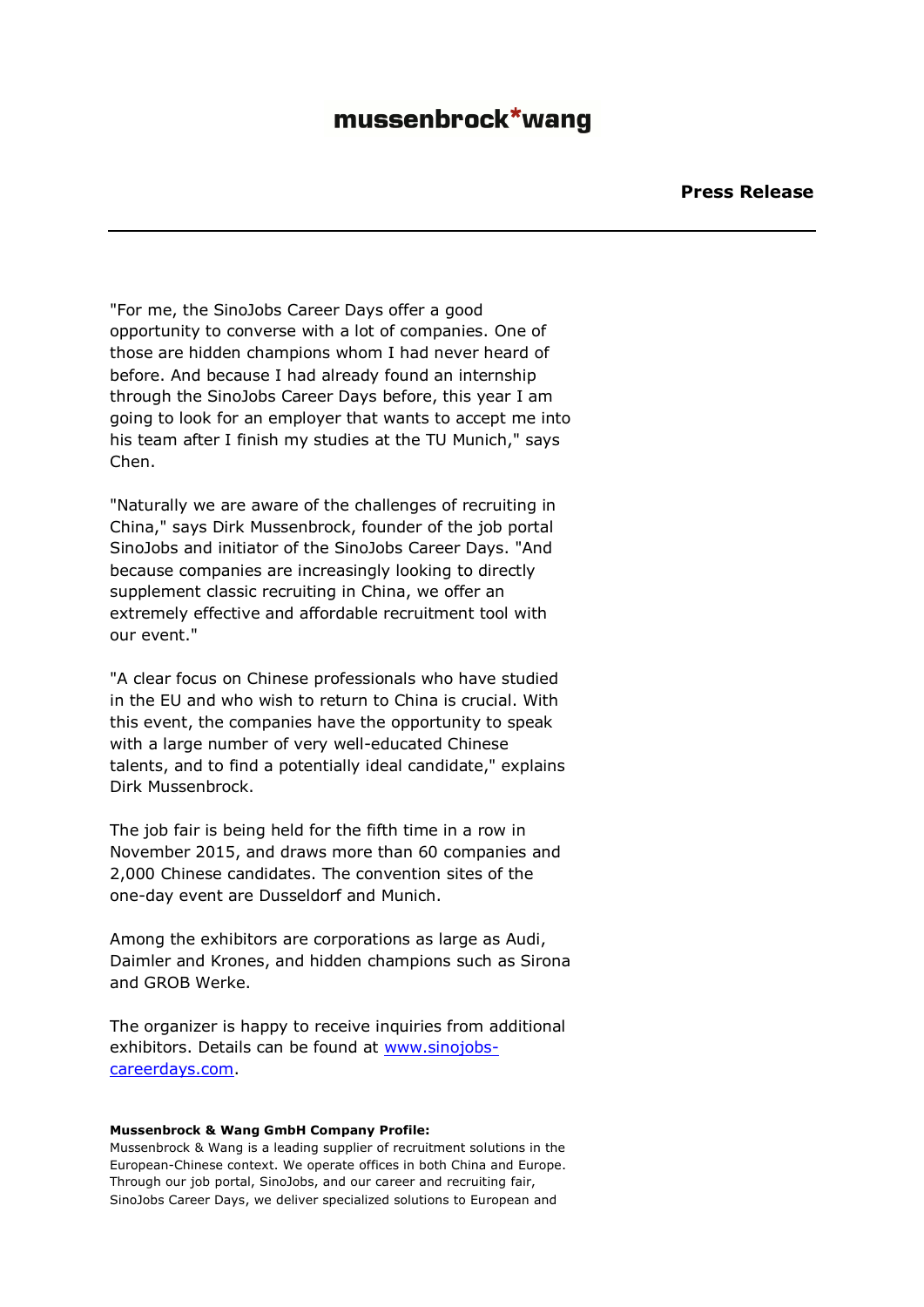## mussenbrock\*wang

"For me, the SinoJobs Career Days offer a good opportunity to converse with a lot of companies. One of those are hidden champions whom I had never heard of before. And because I had already found an internship through the SinoJobs Career Days before, this year I am going to look for an employer that wants to accept me into his team after I finish my studies at the TU Munich," says Chen.

"Naturally we are aware of the challenges of recruiting in China," says Dirk Mussenbrock, founder of the job portal SinoJobs and initiator of the SinoJobs Career Days. "And because companies are increasingly looking to directly supplement classic recruiting in China, we offer an extremely effective and affordable recruitment tool with our event."

"A clear focus on Chinese professionals who have studied in the EU and who wish to return to China is crucial. With this event, the companies have the opportunity to speak with a large number of very well-educated Chinese talents, and to find a potentially ideal candidate," explains Dirk Mussenbrock.

The job fair is being held for the fifth time in a row in November 2015, and draws more than 60 companies and 2,000 Chinese candidates. The convention sites of the one-day event are Dusseldorf and Munich.

Among the exhibitors are corporations as large as Audi, Daimler and Krones, and hidden champions such as Sirona and GROB Werke.

The organizer is happy to receive inquiries from additional exhibitors. Details can be found at www.sinojobscareerdays.com.

#### **Mussenbrock & Wang GmbH Company Profile:**

Mussenbrock & Wang is a leading supplier of recruitment solutions in the European-Chinese context. We operate offices in both China and Europe. Through our job portal, SinoJobs, and our career and recruiting fair, SinoJobs Career Days, we deliver specialized solutions to European and